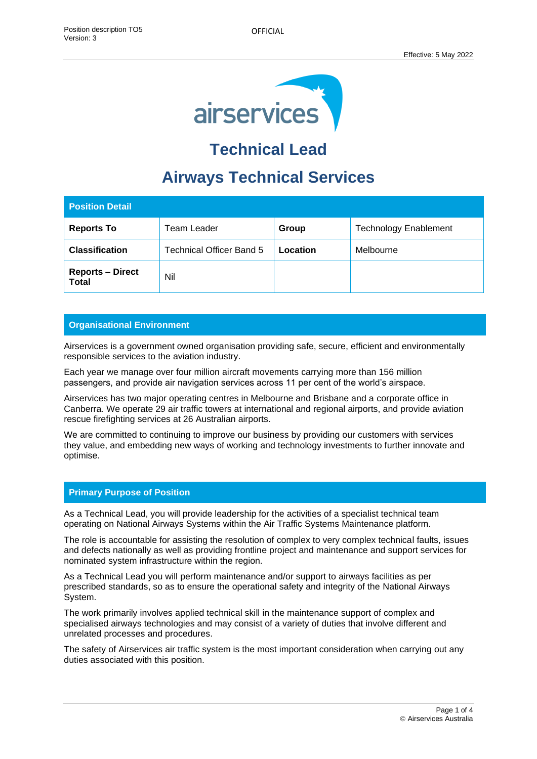

# **Technical Lead**

## **Airways Technical Services**

| <b>Position Detail</b>                  |                          |          |                              |
|-----------------------------------------|--------------------------|----------|------------------------------|
| <b>Reports To</b>                       | <b>Team Leader</b>       | Group    | <b>Technology Enablement</b> |
| <b>Classification</b>                   | Technical Officer Band 5 | Location | Melbourne                    |
| <b>Reports - Direct</b><br><b>Total</b> | Nil                      |          |                              |

## **Organisational Environment**

Airservices is a government owned organisation providing safe, secure, efficient and environmentally responsible services to the aviation industry.

Each year we manage over four million aircraft movements carrying more than 156 million passengers, and provide air navigation services across 11 per cent of the world's airspace.

Airservices has two major operating centres in Melbourne and Brisbane and a corporate office in Canberra. We operate 29 air traffic towers at international and regional airports, and provide aviation rescue firefighting services at 26 Australian airports.

We are committed to continuing to improve our business by providing our customers with services they value, and embedding new ways of working and technology investments to further innovate and optimise.

## **Primary Purpose of Position**

As a Technical Lead, you will provide leadership for the activities of a specialist technical team operating on National Airways Systems within the Air Traffic Systems Maintenance platform.

The role is accountable for assisting the resolution of complex to very complex technical faults, issues and defects nationally as well as providing frontline project and maintenance and support services for nominated system infrastructure within the region.

As a Technical Lead you will perform maintenance and/or support to airways facilities as per prescribed standards, so as to ensure the operational safety and integrity of the National Airways System.

The work primarily involves applied technical skill in the maintenance support of complex and specialised airways technologies and may consist of a variety of duties that involve different and unrelated processes and procedures.

The safety of Airservices air traffic system is the most important consideration when carrying out any duties associated with this position.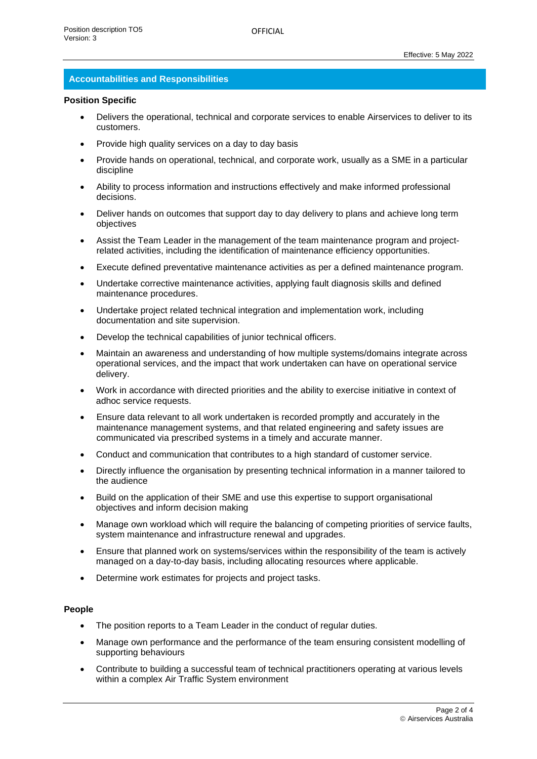#### **Accountabilities and Responsibilities**

#### **Position Specific**

- Delivers the operational, technical and corporate services to enable Airservices to deliver to its customers.
- Provide high quality services on a day to day basis
- Provide hands on operational, technical, and corporate work, usually as a SME in a particular discipline
- Ability to process information and instructions effectively and make informed professional decisions.
- Deliver hands on outcomes that support day to day delivery to plans and achieve long term objectives
- Assist the Team Leader in the management of the team maintenance program and projectrelated activities, including the identification of maintenance efficiency opportunities.
- Execute defined preventative maintenance activities as per a defined maintenance program.
- Undertake corrective maintenance activities, applying fault diagnosis skills and defined maintenance procedures.
- Undertake project related technical integration and implementation work, including documentation and site supervision.
- Develop the technical capabilities of junior technical officers.
- Maintain an awareness and understanding of how multiple systems/domains integrate across operational services, and the impact that work undertaken can have on operational service delivery.
- Work in accordance with directed priorities and the ability to exercise initiative in context of adhoc service requests.
- Ensure data relevant to all work undertaken is recorded promptly and accurately in the maintenance management systems, and that related engineering and safety issues are communicated via prescribed systems in a timely and accurate manner.
- Conduct and communication that contributes to a high standard of customer service.
- Directly influence the organisation by presenting technical information in a manner tailored to the audience
- Build on the application of their SME and use this expertise to support organisational objectives and inform decision making
- Manage own workload which will require the balancing of competing priorities of service faults, system maintenance and infrastructure renewal and upgrades.
- Ensure that planned work on systems/services within the responsibility of the team is actively managed on a day-to-day basis, including allocating resources where applicable.
- Determine work estimates for projects and project tasks.

#### **People**

- The position reports to a Team Leader in the conduct of regular duties.
- Manage own performance and the performance of the team ensuring consistent modelling of supporting behaviours
- Contribute to building a successful team of technical practitioners operating at various levels within a complex Air Traffic System environment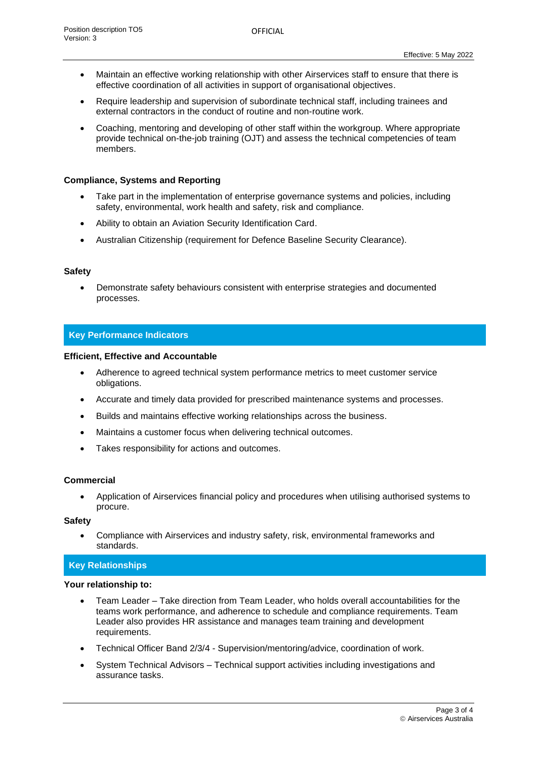- Maintain an effective working relationship with other Airservices staff to ensure that there is effective coordination of all activities in support of organisational objectives.
- Require leadership and supervision of subordinate technical staff, including trainees and external contractors in the conduct of routine and non-routine work.
- Coaching, mentoring and developing of other staff within the workgroup. Where appropriate provide technical on-the-job training (OJT) and assess the technical competencies of team members.

#### **Compliance, Systems and Reporting**

- Take part in the implementation of enterprise governance systems and policies, including safety, environmental, work health and safety, risk and compliance.
- Ability to obtain an Aviation Security Identification Card.
- Australian Citizenship (requirement for Defence Baseline Security Clearance).

#### **Safety**

• Demonstrate safety behaviours consistent with enterprise strategies and documented processes.

#### **Key Performance Indicators**

#### **Efficient, Effective and Accountable**

- Adherence to agreed technical system performance metrics to meet customer service obligations.
- Accurate and timely data provided for prescribed maintenance systems and processes.
- Builds and maintains effective working relationships across the business.
- Maintains a customer focus when delivering technical outcomes.
- Takes responsibility for actions and outcomes.

#### **Commercial**

• Application of Airservices financial policy and procedures when utilising authorised systems to procure.

#### **Safety**

• Compliance with Airservices and industry safety, risk, environmental frameworks and standards.

## **Key Relationships**

#### **Your relationship to:**

- Team Leader Take direction from Team Leader, who holds overall accountabilities for the teams work performance, and adherence to schedule and compliance requirements. Team Leader also provides HR assistance and manages team training and development requirements.
- Technical Officer Band 2/3/4 Supervision/mentoring/advice, coordination of work.
- System Technical Advisors Technical support activities including investigations and assurance tasks.